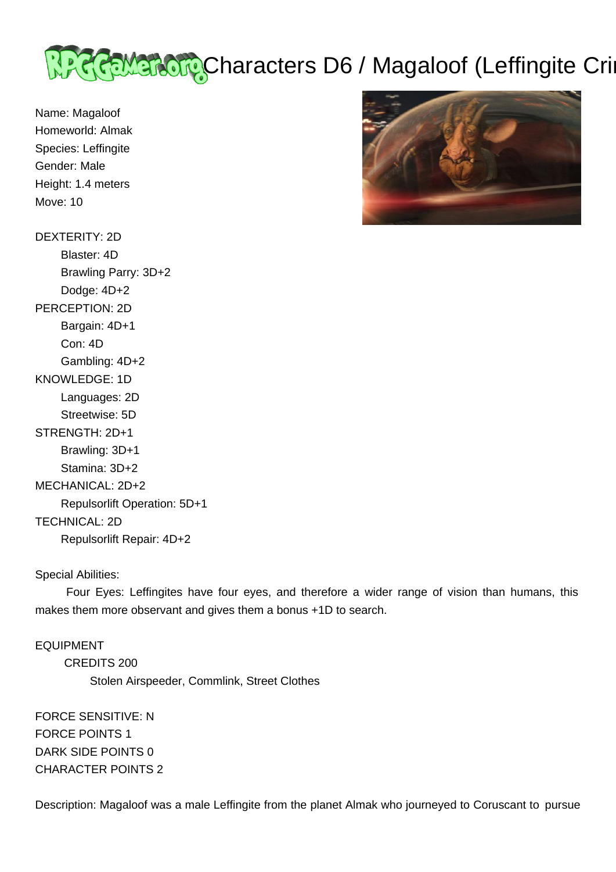

Name: Magaloof Homeworld: Almak Species: Leffingite Gender: Male Height: 1.4 meters Move: 10

DEXTERITY: 2D Blaster: 4D Brawling Parry: 3D+2 Dodge: 4D+2 PERCEPTION: 2D Bargain: 4D+1 Con: 4D Gambling: 4D+2 KNOWLEDGE: 1D Languages: 2D Streetwise: 5D STRENGTH: 2D+1 Brawling: 3D+1 Stamina: 3D+2 MECHANICAL: 2D+2 Repulsorlift Operation: 5D+1 TECHNICAL: 2D Repulsorlift Repair: 4D+2

Special Abilities:

 Four Eyes: Leffingites have four eyes, and therefore a wider range of vision than humans, this makes them more observant and gives them a bonus +1D to search.

EQUIPMENT CREDITS 200 Stolen Airspeeder, Commlink, Street Clothes

FORCE SENSITIVE: N FORCE POINTS 1 DARK SIDE POINTS 0 CHARACTER POINTS 2

Description: Magaloof was a male Leffingite from the planet Almak who journeyed to Coruscant to pursue

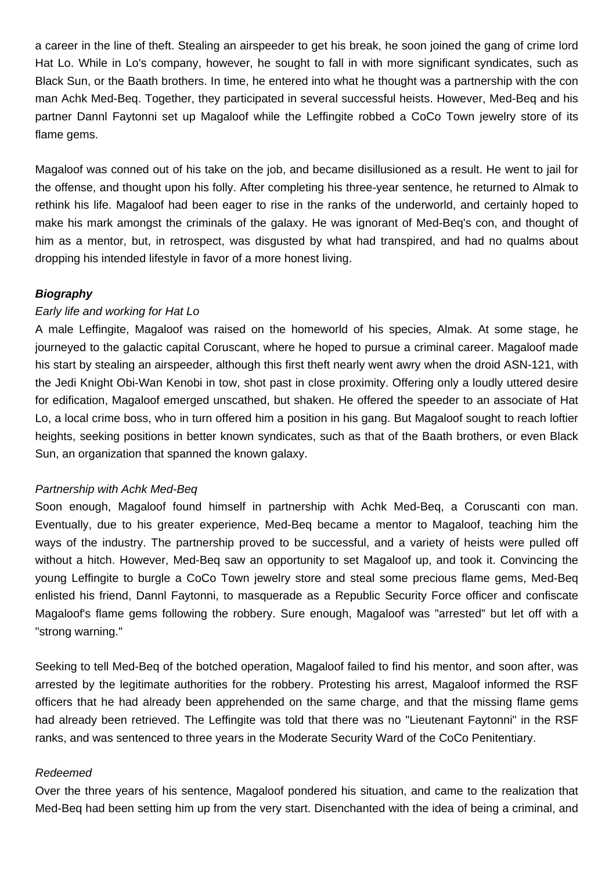a career in the line of theft. Stealing an airspeeder to get his break, he soon joined the gang of crime lord Hat Lo. While in Lo's company, however, he sought to fall in with more significant syndicates, such as Black Sun, or the Baath brothers. In time, he entered into what he thought was a partnership with the con man Achk Med-Beq. Together, they participated in several successful heists. However, Med-Beq and his partner Dannl Faytonni set up Magaloof while the Leffingite robbed a CoCo Town jewelry store of its flame gems.

Magaloof was conned out of his take on the job, and became disillusioned as a result. He went to jail for the offense, and thought upon his folly. After completing his three-year sentence, he returned to Almak to rethink his life. Magaloof had been eager to rise in the ranks of the underworld, and certainly hoped to make his mark amongst the criminals of the galaxy. He was ignorant of Med-Beq's con, and thought of him as a mentor, but, in retrospect, was disgusted by what had transpired, and had no qualms about dropping his intended lifestyle in favor of a more honest living.

## **Biography**

## Early life and working for Hat Lo

A male Leffingite, Magaloof was raised on the homeworld of his species, Almak. At some stage, he journeyed to the galactic capital Coruscant, where he hoped to pursue a criminal career. Magaloof made his start by stealing an airspeeder, although this first theft nearly went awry when the droid ASN-121, with the Jedi Knight Obi-Wan Kenobi in tow, shot past in close proximity. Offering only a loudly uttered desire for edification, Magaloof emerged unscathed, but shaken. He offered the speeder to an associate of Hat Lo, a local crime boss, who in turn offered him a position in his gang. But Magaloof sought to reach loftier heights, seeking positions in better known syndicates, such as that of the Baath brothers, or even Black Sun, an organization that spanned the known galaxy.

## Partnership with Achk Med-Beq

Soon enough, Magaloof found himself in partnership with Achk Med-Beq, a Coruscanti con man. Eventually, due to his greater experience, Med-Beq became a mentor to Magaloof, teaching him the ways of the industry. The partnership proved to be successful, and a variety of heists were pulled off without a hitch. However, Med-Beq saw an opportunity to set Magaloof up, and took it. Convincing the young Leffingite to burgle a CoCo Town jewelry store and steal some precious flame gems, Med-Beq enlisted his friend, Dannl Faytonni, to masquerade as a Republic Security Force officer and confiscate Magaloof's flame gems following the robbery. Sure enough, Magaloof was "arrested" but let off with a "strong warning."

Seeking to tell Med-Beq of the botched operation, Magaloof failed to find his mentor, and soon after, was arrested by the legitimate authorities for the robbery. Protesting his arrest, Magaloof informed the RSF officers that he had already been apprehended on the same charge, and that the missing flame gems had already been retrieved. The Leffingite was told that there was no "Lieutenant Faytonni" in the RSF ranks, and was sentenced to three years in the Moderate Security Ward of the CoCo Penitentiary.

#### Redeemed

Over the three years of his sentence, Magaloof pondered his situation, and came to the realization that Med-Beq had been setting him up from the very start. Disenchanted with the idea of being a criminal, and